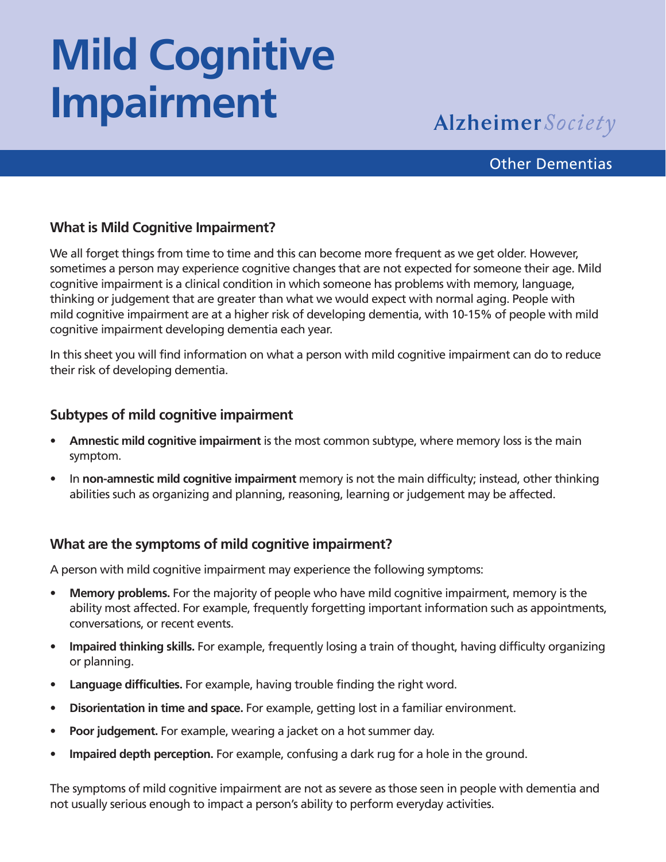# **Mild Cognitive Impairment**

### **Alzheimer** Society

#### Other Dementias

#### **What is Mild Cognitive Impairment?**

We all forget things from time to time and this can become more frequent as we get older. However, sometimes a person may experience cognitive changes that are not expected for someone their age. Mild cognitive impairment is a clinical condition in which someone has problems with memory, language, thinking or judgement that are greater than what we would expect with normal aging. People with mild cognitive impairment are at a higher risk of developing dementia, with 10-15% of people with mild cognitive impairment developing dementia each year.

In this sheet you will find information on what a person with mild cognitive impairment can do to reduce their risk of developing dementia.

#### **Subtypes of mild cognitive impairment**

- **• Amnestic mild cognitive impairment** is the most common subtype, where memory loss is the main symptom.
- In **non-amnestic mild cognitive impairment** memory is not the main difficulty; instead, other thinking abilities such as organizing and planning, reasoning, learning or judgement may be affected.

#### **What are the symptoms of mild cognitive impairment?**

A person with mild cognitive impairment may experience the following symptoms:

- **• Memory problems.** For the majority of people who have mild cognitive impairment, memory is the ability most affected. For example, frequently forgetting important information such as appointments, conversations, or recent events.
- **• Impaired thinking skills.** For example, frequently losing a train of thought, having difficulty organizing or planning.
- **• Language difficulties.** For example, having trouble finding the right word.
- **• Disorientation in time and space.** For example, getting lost in a familiar environment.
- **• Poor judgement.** For example, wearing a jacket on a hot summer day.
- **• Impaired depth perception.** For example, confusing a dark rug for a hole in the ground.

The symptoms of mild cognitive impairment are not as severe as those seen in people with dementia and not usually serious enough to impact a person's ability to perform everyday activities.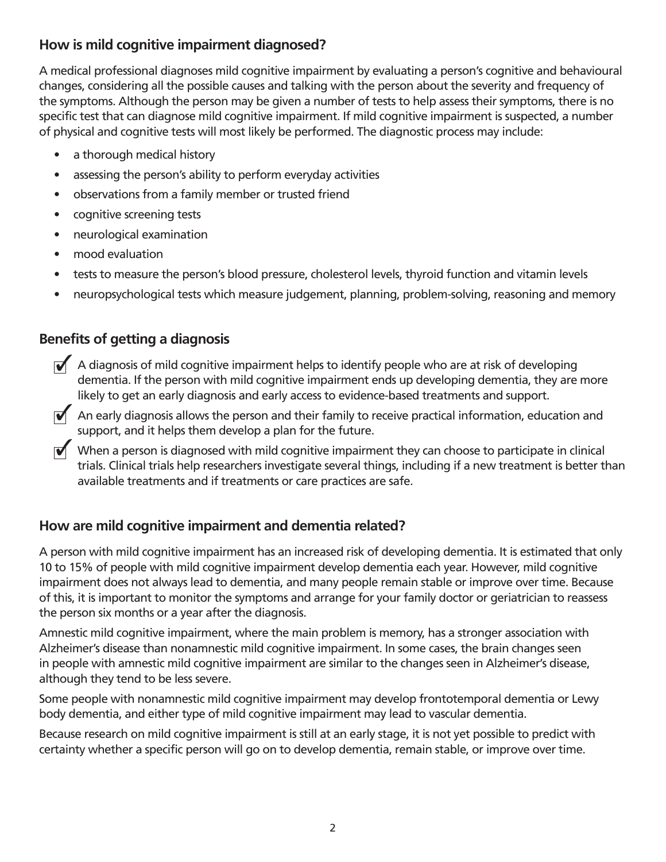#### **How is mild cognitive impairment diagnosed?**

A medical professional diagnoses mild cognitive impairment by evaluating a person's cognitive and behavioural changes, considering all the possible causes and talking with the person about the severity and frequency of the symptoms. Although the person may be given a number of tests to help assess their symptoms, there is no specific test that can diagnose mild cognitive impairment. If mild cognitive impairment is suspected, a number of physical and cognitive tests will most likely be performed. The diagnostic process may include:

- a thorough medical history
- assessing the person's ability to perform everyday activities
- observations from a family member or trusted friend
- cognitive screening tests
- neurological examination
- mood evaluation
- tests to measure the person's blood pressure, cholesterol levels, thyroid function and vitamin levels
- neuropsychological tests which measure judgement, planning, problem-solving, reasoning and memory

#### **Benefits of getting a diagnosis**

- $\blacklozenge$  A diagnosis of mild cognitive impairment helps to identify people who are at risk of developing dementia. If the person with mild cognitive impairment ends up developing dementia, they are more likely to get an early diagnosis and early access to evidence-based treatments and support.
- An early diagnosis allows the person and their family to receive practical information, education and support, and it helps them develop a plan for the future.
- When a person is diagnosed with mild cognitive impairment they can choose to participate in clinical trials. Clinical trials help researchers investigate several things, including if a new treatment is better than available treatments and if treatments or care practices are safe.

#### **How are mild cognitive impairment and dementia related?**

A person with mild cognitive impairment has an increased risk of developing dementia. It is estimated that only 10 to 15% of people with mild cognitive impairment develop dementia each year. However, mild cognitive impairment does not always lead to dementia, and many people remain stable or improve over time. Because of this, it is important to monitor the symptoms and arrange for your family doctor or geriatrician to reassess the person six months or a year after the diagnosis.

Amnestic mild cognitive impairment, where the main problem is memory, has a stronger association with Alzheimer's disease than nonamnestic mild cognitive impairment. In some cases, the brain changes seen in people with amnestic mild cognitive impairment are similar to the changes seen in Alzheimer's disease, although they tend to be less severe.

Some people with nonamnestic mild cognitive impairment may develop frontotemporal dementia or Lewy body dementia, and either type of mild cognitive impairment may lead to vascular dementia.

Because research on mild cognitive impairment is still at an early stage, it is not yet possible to predict with certainty whether a specific person will go on to develop dementia, remain stable, or improve over time.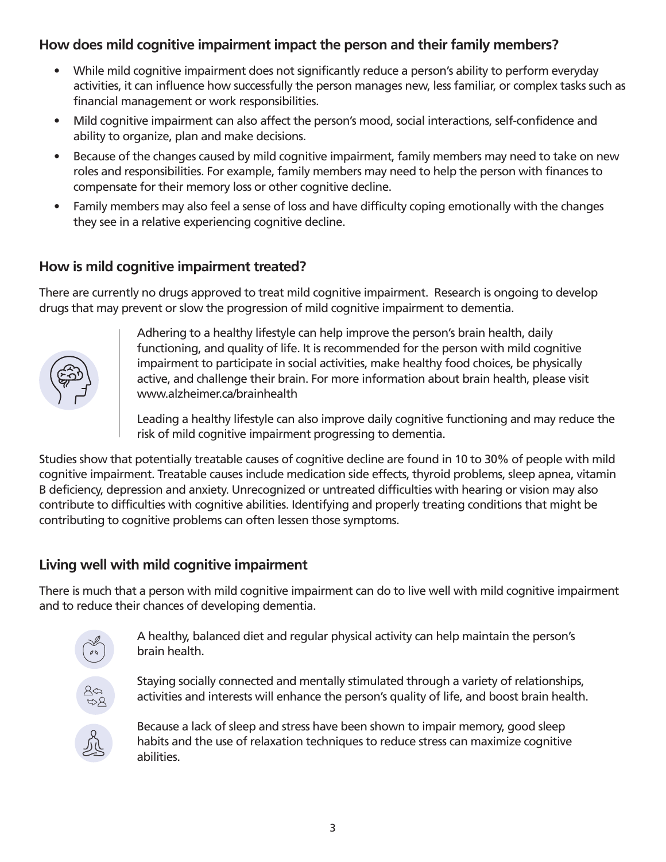#### **How does mild cognitive impairment impact the person and their family members?**

- While mild cognitive impairment does not significantly reduce a person's ability to perform everyday activities, it can influence how successfully the person manages new, less familiar, or complex tasks such as financial management or work responsibilities.
- Mild cognitive impairment can also affect the person's mood, social interactions, self-confidence and ability to organize, plan and make decisions.
- Because of the changes caused by mild cognitive impairment, family members may need to take on new roles and responsibilities. For example, family members may need to help the person with finances to compensate for their memory loss or other cognitive decline.
- Family members may also feel a sense of loss and have difficulty coping emotionally with the changes they see in a relative experiencing cognitive decline.

#### **How is mild cognitive impairment treated?**

There are currently no drugs approved to treat mild cognitive impairment. Research is ongoing to develop drugs that may prevent or slow the progression of mild cognitive impairment to dementia.



Adhering to a healthy lifestyle can help improve the person's brain health, daily functioning, and quality of life. It is recommended for the person with mild cognitive impairment to participate in social activities, make healthy food choices, be physically active, and challenge their brain. For more information about brain health, please visit www.alzheimer.ca/brainhealth

Leading a healthy lifestyle can also improve daily cognitive functioning and may reduce the risk of mild cognitive impairment progressing to dementia.

Studies show that potentially treatable causes of cognitive decline are found in 10 to 30% of people with mild cognitive impairment. Treatable causes include medication side effects, thyroid problems, sleep apnea, vitamin B deficiency, depression and anxiety. Unrecognized or untreated difficulties with hearing or vision may also contribute to difficulties with cognitive abilities. Identifying and properly treating conditions that might be contributing to cognitive problems can often lessen those symptoms.

#### **Living well with mild cognitive impairment**

There is much that a person with mild cognitive impairment can do to live well with mild cognitive impairment and to reduce their chances of developing dementia.



A healthy, balanced diet and regular physical activity can help maintain the person's brain health.

Staying socially connected and mentally stimulated through a variety of relationships, activities and interests will enhance the person's quality of life, and boost brain health.



Because a lack of sleep and stress have been shown to impair memory, good sleep habits and the use of relaxation techniques to reduce stress can maximize cognitive abilities.